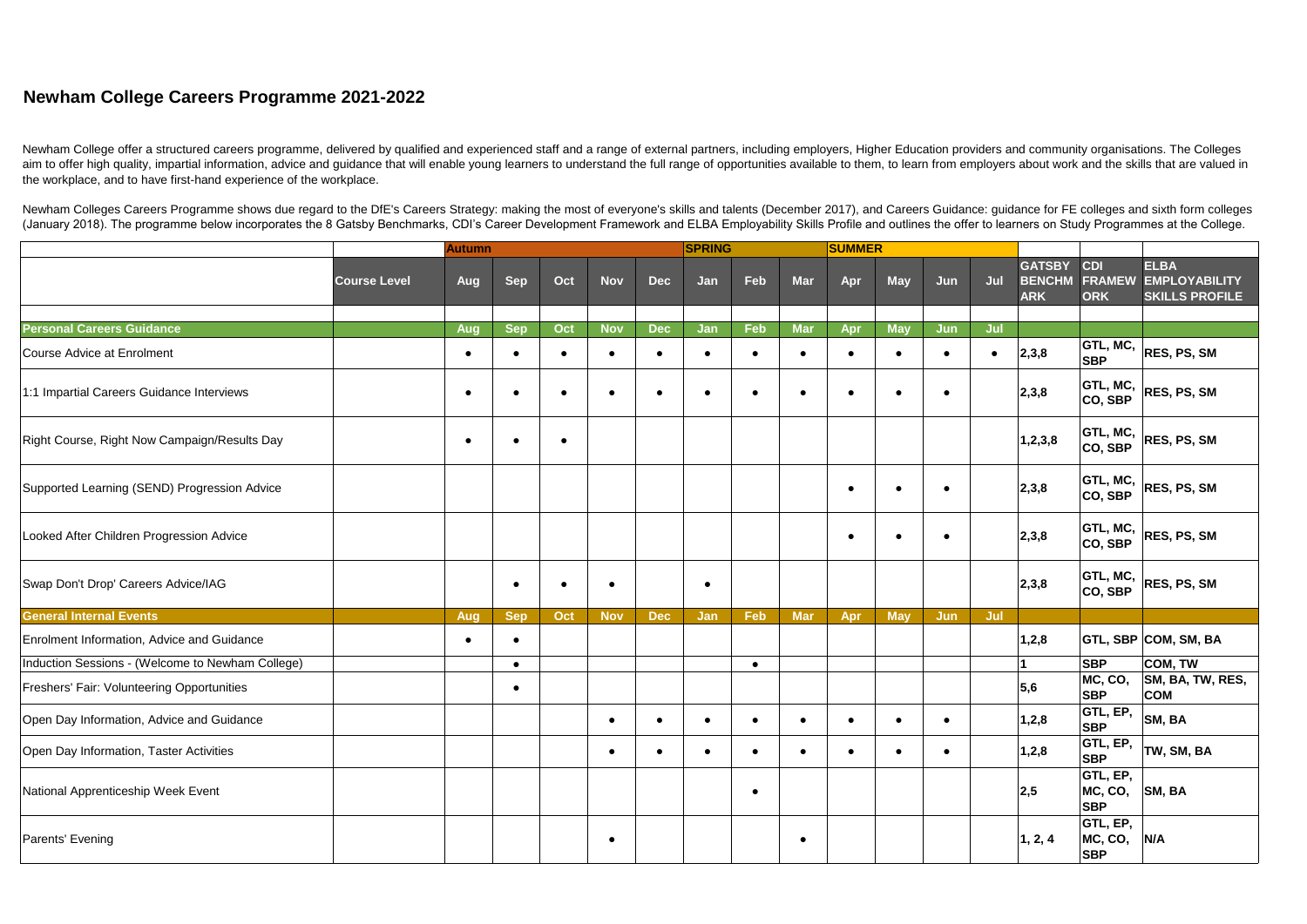## **Newham College Careers Programme 2021-2022**

|                                                                |                     | <b>Autumn</b>    |                         |           |            |            | <b>SPRING</b> |           |            | SUMMER           |                         |            |     |                                              |                                           |                                                              |
|----------------------------------------------------------------|---------------------|------------------|-------------------------|-----------|------------|------------|---------------|-----------|------------|------------------|-------------------------|------------|-----|----------------------------------------------|-------------------------------------------|--------------------------------------------------------------|
|                                                                | <b>Course Level</b> | Aug              | <b>Sep</b>              | Oct       | <b>Nov</b> | <b>Dec</b> | Jan           | Feb       | <b>Mar</b> | Apr              | <b>May</b>              | Jun        | Jul | <b>GATSBY</b><br><b>BENCHM</b><br><b>ARK</b> | <b>CDI</b><br><b>FRAMEW</b><br><b>ORK</b> | <b>ELBA</b><br><b>EMPLOYABILITY</b><br><b>SKILLS PROFILE</b> |
|                                                                |                     |                  |                         | Oct       | <b>Nov</b> | <b>Dec</b> | Jan           | Feb       | <b>Mar</b> |                  |                         | <b>Jun</b> | Jul |                                              |                                           |                                                              |
| <b>Personal Careers Guidance</b><br>Course Advice at Enrolment |                     | Aug<br>$\bullet$ | <b>Sep</b><br>$\bullet$ | $\bullet$ |            | $\bullet$  | $\bullet$     | $\bullet$ | $\bullet$  | Apr<br>$\bullet$ | <b>May</b><br>$\bullet$ | $\bullet$  |     | 2,3,8                                        | GTL, MC,<br><b>SBP</b>                    | <b>RES, PS, SM</b>                                           |
| 1:1 Impartial Careers Guidance Interviews                      |                     | $\bullet$        |                         |           |            | $\bullet$  | $\bullet$     | $\bullet$ |            | $\bullet$        | $\bullet$               | $\bullet$  |     | 2,3,8                                        | GTL, MC,<br> CO, SBP                      | <b>RES, PS, SM</b>                                           |
| Right Course, Right Now Campaign/Results Day                   |                     |                  |                         |           |            |            |               |           |            |                  |                         |            |     | 1,2,3,8                                      | <b>GTL, MC,</b><br> CO, SBP               | <b>RES, PS, SM</b>                                           |
| Supported Learning (SEND) Progression Advice                   |                     |                  |                         |           |            |            |               |           |            | $\bullet$        | $\bullet$               | $\bullet$  |     | 2,3,8                                        | GTL, MC,<br>CO, SBP                       | <b>RES, PS, SM</b>                                           |
| Looked After Children Progression Advice                       |                     |                  |                         |           |            |            |               |           |            | $\bullet$        | $\bullet$               | $\bullet$  |     | 2,3,8                                        | GTL, MC,<br> CO, SBP                      | <b>RES, PS, SM</b>                                           |
| Swap Don't Drop' Careers Advice/IAG                            |                     |                  | $\bullet$               |           | ٠          |            | $\bullet$     |           |            |                  |                         |            |     | 2,3,8                                        | GTL, MC,<br>CO, SBP                       | <b>RES, PS, SM</b>                                           |
| <b>General Internal Events</b>                                 |                     | Aug              | <b>Sep</b>              | Oct       | <b>Nov</b> | <b>Dec</b> | Jan           | Feb       | <b>Mar</b> | Apr              | <b>May</b>              | Jun        | Jul |                                              |                                           |                                                              |
| Enrolment Information, Advice and Guidance                     |                     | $\bullet$        | $\bullet$               |           |            |            |               |           |            |                  |                         |            |     | 1,2,8                                        |                                           | <b>GTL, SBP COM, SM, BA</b>                                  |
| Induction Sessions - (Welcome to Newham College)               |                     |                  | $\bullet$               |           |            |            |               | $\bullet$ |            |                  |                         |            |     |                                              | <b>SBP</b>                                | COM, TW                                                      |
| Freshers' Fair: Volunteering Opportunities                     |                     |                  | $\bullet$               |           |            |            |               |           |            |                  |                         |            |     | 5,6                                          | MC, CO,<br><b>SBP</b>                     | SM, BA, TW, RES,<br><b>COM</b>                               |
| Open Day Information, Advice and Guidance                      |                     |                  |                         |           | $\bullet$  |            | $\bullet$     | $\bullet$ | $\bullet$  |                  |                         |            |     | 1,2,8                                        | GTL, EP,<br><b>SBP</b>                    | SM, BA                                                       |
| Open Day Information, Taster Activities                        |                     |                  |                         |           | $\bullet$  |            | $\bullet$     | $\bullet$ | $\bullet$  | $\bullet$        | $\bullet$               | $\bullet$  |     | 1,2,8                                        | <b>GTL, EP,</b><br><b>SBP</b>             | TW, SM, BA                                                   |
| National Apprenticeship Week Event                             |                     |                  |                         |           |            |            |               | $\bullet$ |            |                  |                         |            |     | 2,5                                          | <b>GTL, EP,</b><br>MC, CO,<br><b>SBP</b>  | $\vert$ SM, BA                                               |
| Parents' Evening                                               |                     |                  |                         |           | $\bullet$  |            |               |           | $\bullet$  |                  |                         |            |     | $\vert 1, 2, 4 \vert$                        | <b>GTL, EP,</b><br>MC, CO,<br><b>SBP</b>  | N/A                                                          |

Newham College offer a structured careers programme, delivered by qualified and experienced staff and a range of external partners, including employers, Higher Education providers and community organisations. The Colleges aim to offer high quality, impartial information, advice and guidance that will enable young learners to understand the full range of opportunities available to them, to learn from employers about work and the skills that the workplace, and to have first-hand experience of the workplace.

Newham Colleges Careers Programme shows due regard to the DfE's Careers Strategy: making the most of everyone's skills and talents (December 2017), and Careers Guidance: guidance for FE colleges and sixth form colleges (January 2018). The programme below incorporates the 8 Gatsby Benchmarks, CDI's Career Development Framework and ELBA Employability Skills Profile and outlines the offer to learners on Study Programmes at the College.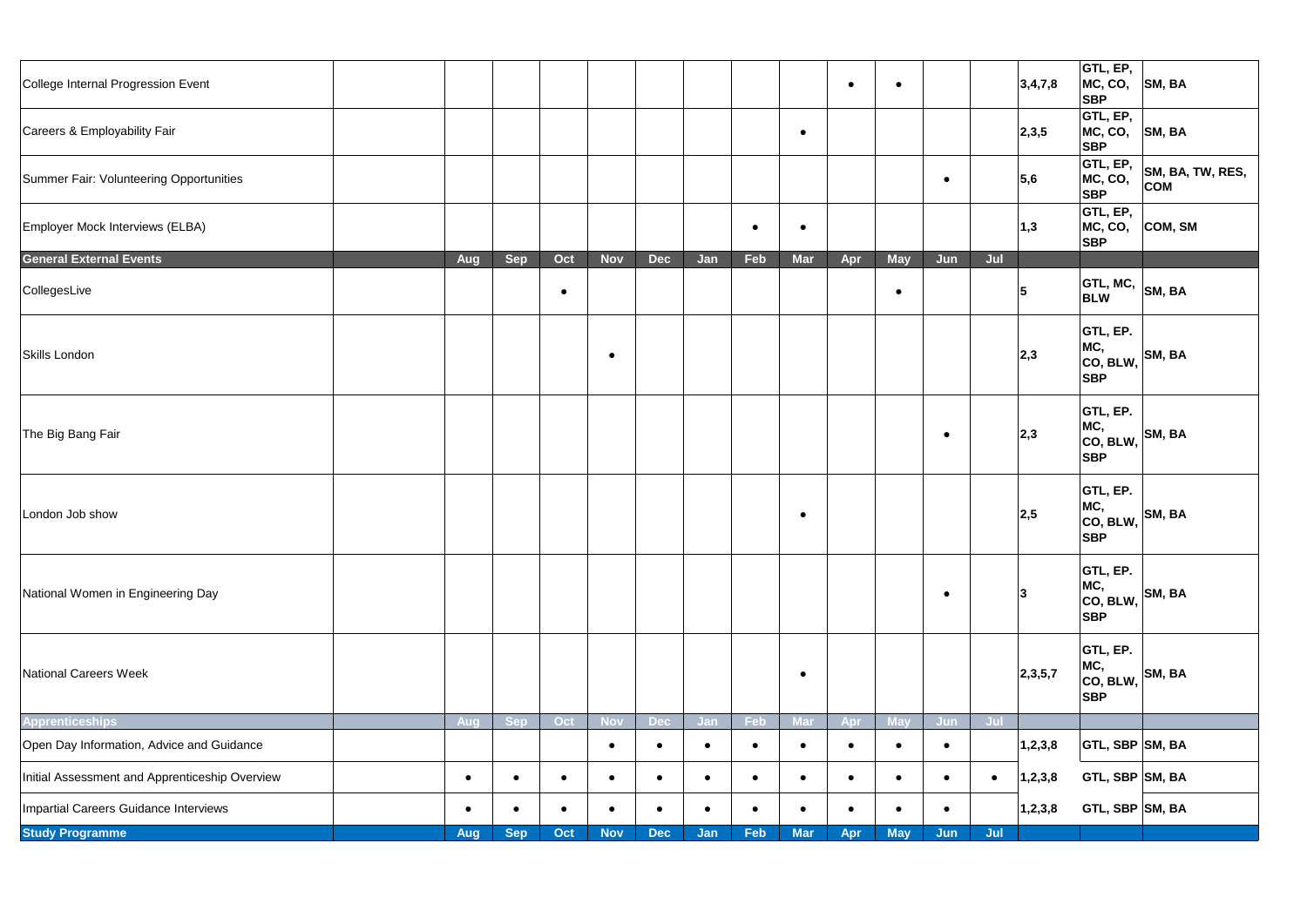| College Internal Progression Event             |            |            |           |            |            |           |           |            | $\bullet$ | $\bullet$  |            |           | 3,4,7,8           | GTL, EP,<br>MC, CO,<br><b>SBP</b>                                                                                         | $\vert$ SM, BA                 |
|------------------------------------------------|------------|------------|-----------|------------|------------|-----------|-----------|------------|-----------|------------|------------|-----------|-------------------|---------------------------------------------------------------------------------------------------------------------------|--------------------------------|
| Careers & Employability Fair                   |            |            |           |            |            |           |           | $\bullet$  |           |            |            |           | 2,3,5             | GTL, EP,<br>MC, CO,<br><b>SBP</b>                                                                                         | $\vert$ SM, BA                 |
| Summer Fair: Volunteering Opportunities        |            |            |           |            |            |           |           |            |           |            | $\bullet$  |           | $\vert 5,6 \vert$ | GTL, EP,<br>MC, CO,<br><b>SBP</b>                                                                                         | SM, BA, TW, RES,<br><b>COM</b> |
| Employer Mock Interviews (ELBA)                |            |            |           |            |            |           | $\bullet$ | $\bullet$  |           |            |            |           | 1,3               | GTL, EP,<br><b>SBP</b>                                                                                                    | $MC, CO, CO$ COM, SM           |
| <b>General External Events</b>                 | Aug        | <b>Sep</b> | Oct       | <b>Nov</b> | <b>Dec</b> | Jan       | Feb       | <b>Mar</b> | Apr       | <b>May</b> | Jun        | Jul       |                   |                                                                                                                           |                                |
| CollegesLive                                   |            |            | $\bullet$ |            |            |           |           |            |           | $\bullet$  |            |           | 5                 | <b>GTL, MC,</b><br><b>BLW</b>                                                                                             | $\vert$ SM, BA                 |
| Skills London                                  |            |            |           | $\bullet$  |            |           |           |            |           |            |            |           | 2,3               | <b>GTL, EP.</b><br>$\left \begin{array}{c} \text{MC}, \\ \text{CO}, \text{ BLW}, \end{array}\right $ SM, BA<br><b>SBP</b> |                                |
| The Big Bang Fair                              |            |            |           |            |            |           |           |            |           |            | $\bullet$  |           | 2,3               | <b>GTL, EP.</b><br>MC,<br>$ $ CO, BLW, $ $ SM, BA<br><b>SBP</b>                                                           |                                |
| London Job show                                |            |            |           |            |            |           |           |            |           |            |            |           | 2,5               | <b>GTL, EP.</b><br>MC,<br>$ {\rm co, \, BLW,}\big $ SM, BA<br><b>SBP</b>                                                  |                                |
| National Women in Engineering Day              |            |            |           |            |            |           |           |            |           |            |            |           | 3                 | <b>GTL, EP.</b><br>MC,<br>$ $ CO, BLW, $ $ SM, BA<br><b>SBP</b>                                                           |                                |
| National Careers Week                          |            |            |           |            |            |           |           | $\bullet$  |           |            |            |           | 2,3,5,7           | <b>GTL, EP.</b><br>MC,<br>$ {\rm co, \, BLW,}\big $ SM, BA<br><b>SBP</b>                                                  |                                |
| <b>Apprenticeships</b>                         | <b>Aug</b> | <b>Sep</b> | Oct       | <b>Nov</b> | <b>Dec</b> | Jan       | Feb       | <b>Mar</b> | Apr       | <b>May</b> | <b>Jun</b> | Jul       |                   |                                                                                                                           |                                |
| Open Day Information, Advice and Guidance      |            |            |           | $\bullet$  | $\bullet$  | $\bullet$ | $\bullet$ | $\bullet$  | $\bullet$ | $\bullet$  | $\bullet$  |           | 1,2,3,8           | $ $ GTL, SBP $ $ SM, BA                                                                                                   |                                |
| Initial Assessment and Apprenticeship Overview | $\bullet$  | $\bullet$  | $\bullet$ | $\bullet$  | $\bullet$  | $\bullet$ | $\bullet$ | $\bullet$  | $\bullet$ | $\bullet$  | $\bullet$  | $\bullet$ | 1,2,3,8           | $GTL$ , SBP $ SM$ , BA                                                                                                    |                                |
| Impartial Careers Guidance Interviews          | $\bullet$  | $\bullet$  | $\bullet$ |            | $\bullet$  | $\bullet$ | $\bullet$ | $\bullet$  | $\bullet$ | $\bullet$  | $\bullet$  |           | 1,2,3,8           | $GTL, SBP$ SM, BA                                                                                                         |                                |
| <b>Study Programme</b>                         | Aug        | <b>Sep</b> | Oct       | <b>Nov</b> | <b>Dec</b> | Jan       | Feb       | <b>Mar</b> | Apr       | <b>May</b> | Jun        | Jul       |                   |                                                                                                                           |                                |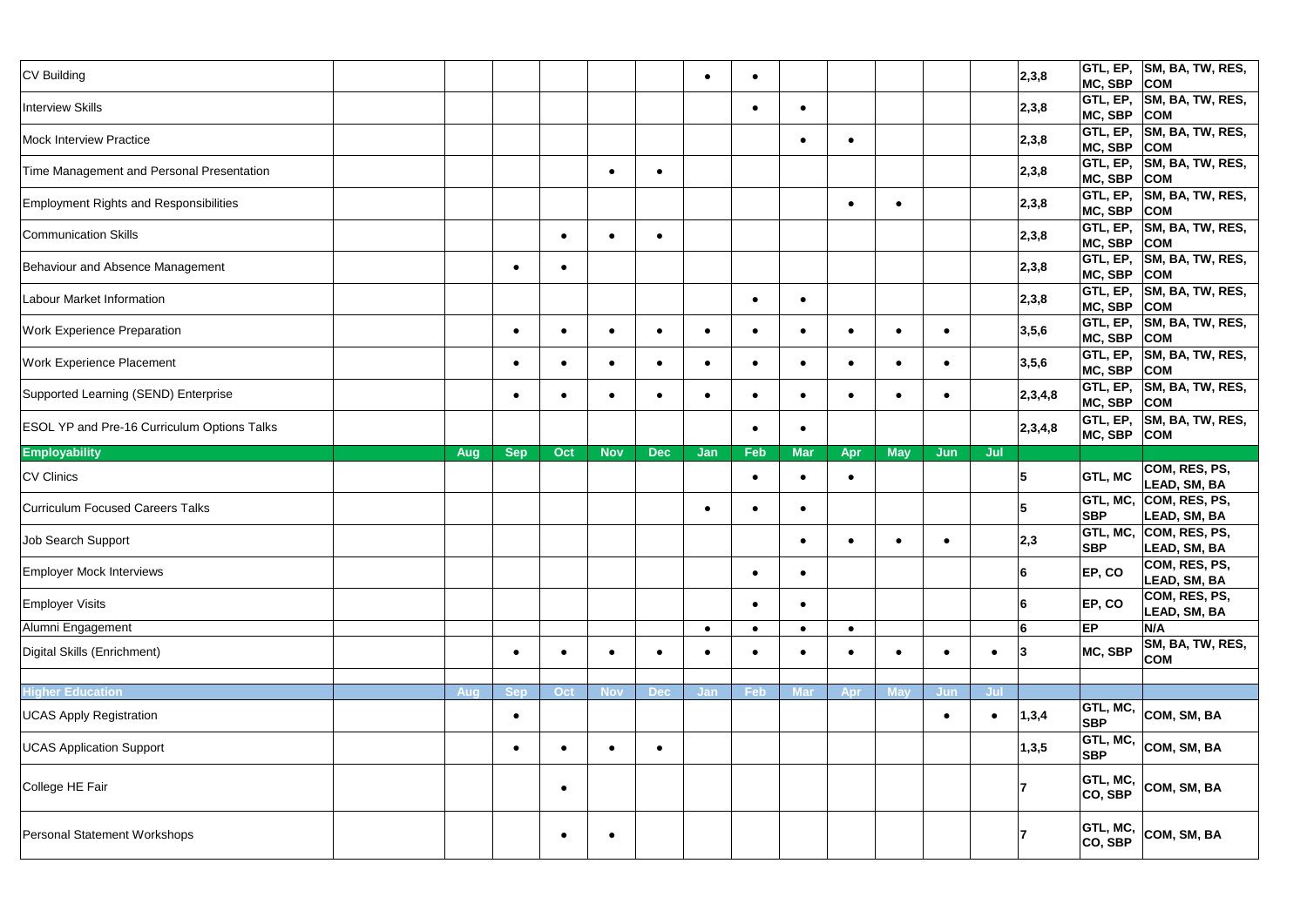| CV Building                                        |            |           |            |            | $\bullet$ | $\bullet$ |            |           |            |           |           | 2,3,8   | MC, SBP COM                    | GTL, EP, SM, BA, TW, RES,                 |
|----------------------------------------------------|------------|-----------|------------|------------|-----------|-----------|------------|-----------|------------|-----------|-----------|---------|--------------------------------|-------------------------------------------|
| <b>Interview Skills</b>                            |            |           |            |            |           | $\bullet$ | $\bullet$  |           |            |           |           | 2,3,8   | MC, SBP COM                    | $ $ GTL, EP, $ $ SM, BA, TW, RES,         |
| <b>Mock Interview Practice</b>                     |            |           |            |            |           |           | $\bullet$  | $\bullet$ |            |           |           | 2,3,8   | <b>GTL, EP,</b><br>MC, SBP COM | SM, BA, TW, RES,                          |
| Time Management and Personal Presentation          |            |           |            | $\bullet$  |           |           |            |           |            |           |           | 2,3,8   | GTL, EP,<br>MC, SBP COM        | SM, BA, TW, RES,                          |
| <b>Employment Rights and Responsibilities</b>      |            |           |            |            |           |           |            | $\bullet$ | $\bullet$  |           |           | 2,3,8   | MC, SBP                        | GTL, EP, SM, BA, TW, RES,<br> COM         |
| <b>Communication Skills</b>                        |            |           |            | $\bullet$  |           |           |            |           |            |           |           | 2,3,8   | MC, SBP COM                    | GTL, EP,  SM, BA, TW, RES,                |
| Behaviour and Absence Management                   | $\bullet$  | $\bullet$ |            |            |           |           |            |           |            |           |           | 2,3,8   | MC, SBP                        | $ $ GTL, EP, $ $ SM, BA, TW, RES,<br> COM |
| Labour Market Information                          |            |           |            |            |           | $\bullet$ | $\bullet$  |           |            |           |           | 2,3,8   | <b>GTL, EP,</b><br>MC, SBP COM | SM, BA, TW, RES,                          |
| <b>Work Experience Preparation</b>                 | $\bullet$  |           |            | $\bullet$  | $\bullet$ | $\bullet$ | $\bullet$  | $\bullet$ | $\bullet$  | $\bullet$ |           | 3,5,6   | GTL, EP,<br>MC, SBP COM        | SM, BA, TW, RES,                          |
| <b>Work Experience Placement</b>                   | $\bullet$  | $\bullet$ |            | $\bullet$  | $\bullet$ | $\bullet$ | $\bullet$  | $\bullet$ | $\bullet$  | $\bullet$ |           | 3,5,6   | GTL, EP,<br>MC, SBP            | SM, BA, TW, RES,<br> COM                  |
| Supported Learning (SEND) Enterprise               | $\bullet$  | $\bullet$ | $\bullet$  | $\bullet$  | $\bullet$ | $\bullet$ | $\bullet$  | $\bullet$ | $\bullet$  | $\bullet$ |           | 2,3,4,8 | GTL, EP,<br>MC, SBP COM        | SM, BA, TW, RES,                          |
| <b>ESOL YP and Pre-16 Curriculum Options Talks</b> |            |           |            |            |           | $\bullet$ | $\bullet$  |           |            |           |           | 2,3,4,8 | MC, SBP                        | GTL, EP,  SM, BA, TW, RES,<br> COM        |
| <b>Employability</b><br><b>Aug</b>                 | <b>Sep</b> | Oct       | <b>Nov</b> | <b>Dec</b> | Jan       | Feb       | <b>Mar</b> | Apr       | <b>May</b> | Jun       | Jul       |         |                                |                                           |
| <b>CV Clinics</b>                                  |            |           |            |            |           | $\bullet$ | $\bullet$  | $\bullet$ |            |           |           | 5       | <b>GTL, MC</b>                 | COM, RES, PS,<br>LEAD, SM, BA             |
| <b>Curriculum Focused Careers Talks</b>            |            |           |            |            | $\bullet$ | $\bullet$ | $\bullet$  |           |            |           |           | 5       | GTL, MC,<br><b>SBP</b>         | COM, RES, PS,<br>LEAD, SM, BA             |
| Job Search Support                                 |            |           |            |            |           |           | $\bullet$  | $\bullet$ | $\bullet$  | $\bullet$ |           | 2,3     | <b>SBP</b>                     | GTL, MC, COM, RES, PS,<br>LEAD, SM, BA    |
| <b>Employer Mock Interviews</b>                    |            |           |            |            |           | $\bullet$ | $\bullet$  |           |            |           |           | 6       | EP, CO                         | COM, RES, PS,<br>LEAD, SM, BA             |
| <b>Employer Visits</b>                             |            |           |            |            |           | $\bullet$ | $\bullet$  |           |            |           |           | 6       | EP, CO                         | COM, RES, PS,<br>LEAD, SM, BA             |
| Alumni Engagement                                  |            |           |            |            | $\bullet$ | $\bullet$ | $\bullet$  | $\bullet$ |            |           |           | 6       | <b>EP</b>                      | N/A                                       |
| Digital Skills (Enrichment)                        | $\bullet$  | $\bullet$ |            | $\bullet$  | $\bullet$ | $\bullet$ | $\bullet$  | $\bullet$ | $\bullet$  | $\bullet$ | $\bullet$ | 3       | MC, SBP                        | SM, BA, TW, RES,<br><b>COM</b>            |
|                                                    |            |           |            |            |           |           |            |           |            |           |           |         |                                |                                           |
| <b>Higher Education</b><br>Aug                     | <b>Sep</b> | Oct       | <b>Nov</b> | <b>Dec</b> | Jan       | Feb       | <b>Mar</b> | Apr       | <b>May</b> | Jun       | Jul       |         |                                |                                           |
| <b>UCAS Apply Registration</b>                     | $\bullet$  |           |            |            |           |           |            |           |            | $\bullet$ |           | 1,3,4   | GTL, MC,<br><b>SBP</b>         | COM, SM, BA                               |
| <b>UCAS Application Support</b>                    | $\bullet$  | $\bullet$ |            | $\bullet$  |           |           |            |           |            |           |           | 1,3,5   | <b>GTL, MC,</b><br><b>SBP</b>  | COM, SM, BA                               |
| College HE Fair                                    |            | $\bullet$ |            |            |           |           |            |           |            |           |           |         | GTL, MC,                       | COM, SM, BA                               |
|                                                    |            |           |            |            |           |           |            |           |            |           |           |         | CO, SBP                        |                                           |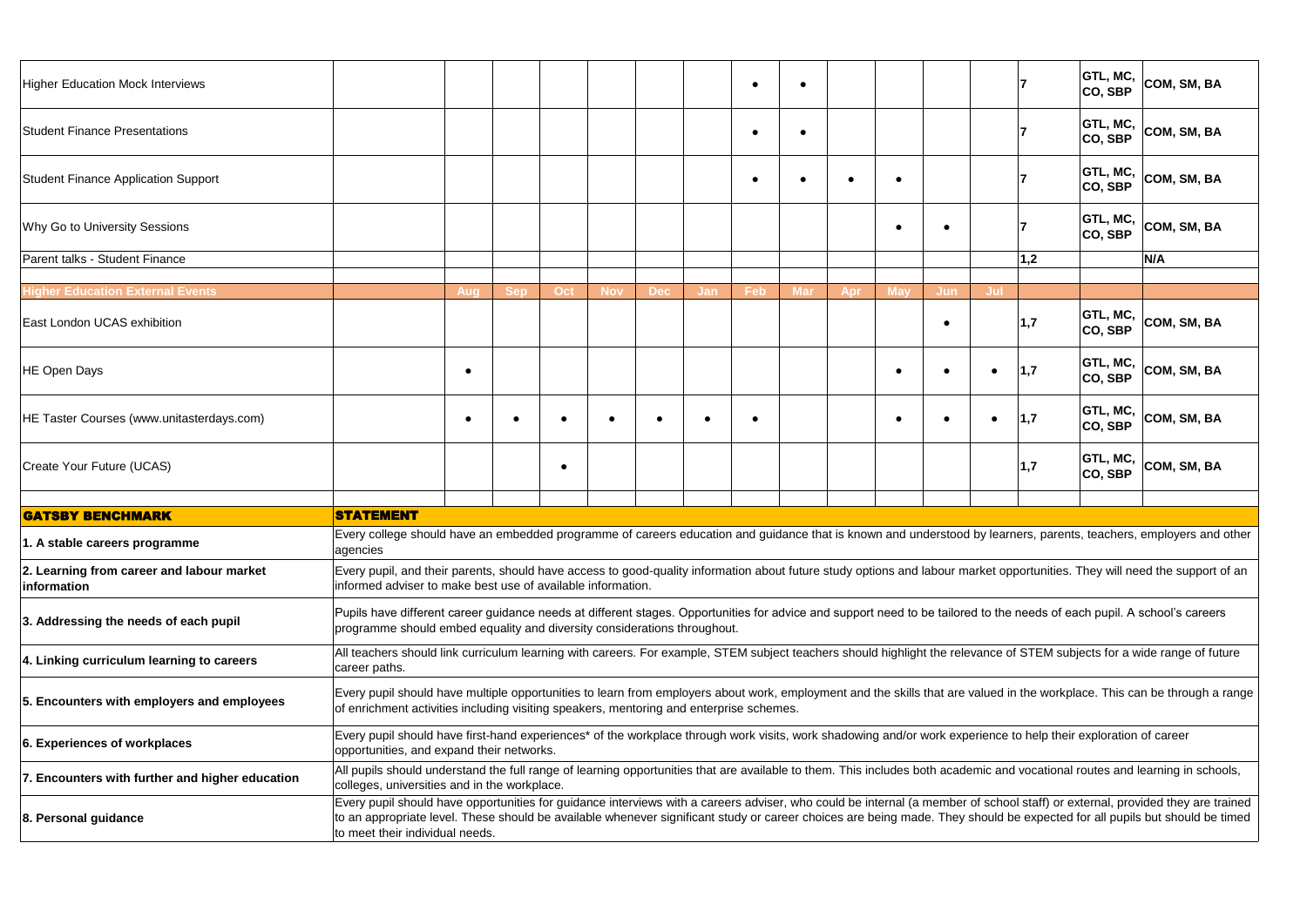| <b>Higher Education Mock Interviews</b>                  |                                                                                                                                                                                                                                                      |           |            |           |            |            |     | $\bullet$ | 0          |           |            |            |           |     | GTL, MC,<br>CO, SBP         | COM, SM, BA                                                                                                                                                                                                                                                                                                                                                 |
|----------------------------------------------------------|------------------------------------------------------------------------------------------------------------------------------------------------------------------------------------------------------------------------------------------------------|-----------|------------|-----------|------------|------------|-----|-----------|------------|-----------|------------|------------|-----------|-----|-----------------------------|-------------------------------------------------------------------------------------------------------------------------------------------------------------------------------------------------------------------------------------------------------------------------------------------------------------------------------------------------------------|
| <b>Student Finance Presentations</b>                     |                                                                                                                                                                                                                                                      |           |            |           |            |            |     | $\bullet$ |            |           |            |            |           |     | GTL, MC,<br> CO, SBP        | COM, SM, BA                                                                                                                                                                                                                                                                                                                                                 |
| <b>Student Finance Application Support</b>               |                                                                                                                                                                                                                                                      |           |            |           |            |            |     | $\bullet$ |            | $\bullet$ | $\bullet$  |            |           |     | GTL, MC,<br>CO, SBP         | COM, SM, BA                                                                                                                                                                                                                                                                                                                                                 |
| Why Go to University Sessions                            |                                                                                                                                                                                                                                                      |           |            |           |            |            |     |           |            |           | $\bullet$  |            |           |     | <b>GTL, MC,</b><br> CO, SBP | COM, SM, BA                                                                                                                                                                                                                                                                                                                                                 |
| Parent talks - Student Finance                           |                                                                                                                                                                                                                                                      |           |            |           |            |            |     |           |            |           |            |            |           | 1,2 |                             | N/A                                                                                                                                                                                                                                                                                                                                                         |
| <b>Higher Education External Events</b>                  |                                                                                                                                                                                                                                                      |           | <b>Sep</b> | Oct       | <b>Nov</b> | <b>Dec</b> |     | Feb       | <b>Mar</b> |           | <b>May</b> | <b>Jun</b> | Jul       |     |                             |                                                                                                                                                                                                                                                                                                                                                             |
| East London UCAS exhibition                              |                                                                                                                                                                                                                                                      | Aug       |            |           |            |            | Jan |           |            | Apr       |            |            |           | 1,7 | <b>GTL, MC,</b><br>CO, SBP  | COM, SM, BA                                                                                                                                                                                                                                                                                                                                                 |
| <b>HE Open Days</b>                                      |                                                                                                                                                                                                                                                      | $\bullet$ |            |           |            |            |     |           |            |           | $\bullet$  | $\bullet$  | $\bullet$ | 1,7 | GTL, MC,<br>CO, SBP         | COM, SM, BA                                                                                                                                                                                                                                                                                                                                                 |
| HE Taster Courses (www.unitasterdays.com)                |                                                                                                                                                                                                                                                      | $\bullet$ |            |           |            |            | -   | $\bullet$ |            |           | $\bullet$  |            | $\bullet$ | 1,7 | GTL, MC,<br> CO, SBP        | COM, SM, BA                                                                                                                                                                                                                                                                                                                                                 |
| Create Your Future (UCAS)                                |                                                                                                                                                                                                                                                      |           |            | $\bullet$ |            |            |     |           |            |           |            |            |           | 1,7 | <b>GTL, MC,</b><br> CO, SBP | COM, SM, BA                                                                                                                                                                                                                                                                                                                                                 |
|                                                          |                                                                                                                                                                                                                                                      |           |            |           |            |            |     |           |            |           |            |            |           |     |                             |                                                                                                                                                                                                                                                                                                                                                             |
| <b>GATSBY BENCHMARK</b>                                  | <b>STATEMENT</b>                                                                                                                                                                                                                                     |           |            |           |            |            |     |           |            |           |            |            |           |     |                             |                                                                                                                                                                                                                                                                                                                                                             |
| 1. A stable careers programme                            | agencies                                                                                                                                                                                                                                             |           |            |           |            |            |     |           |            |           |            |            |           |     |                             | Every college should have an embedded programme of careers education and guidance that is known and understood by learners, parents, teachers, employers and other                                                                                                                                                                                          |
| 2. Learning from career and labour market<br>information | Every pupil, and their parents, should have access to good-quality information about future study options and labour market opportunities. They will need the support of an<br>informed adviser to make best use of available information.           |           |            |           |            |            |     |           |            |           |            |            |           |     |                             |                                                                                                                                                                                                                                                                                                                                                             |
| 3. Addressing the needs of each pupil                    | Pupils have different career guidance needs at different stages. Opportunities for advice and support need to be tailored to the needs of each pupil. A school's careers<br>programme should embed equality and diversity considerations throughout. |           |            |           |            |            |     |           |            |           |            |            |           |     |                             |                                                                                                                                                                                                                                                                                                                                                             |
| 4. Linking curriculum learning to careers                | All teachers should link curriculum learning with careers. For example, STEM subject teachers should highlight the relevance of STEM subjects for a wide range of future<br>career paths.                                                            |           |            |           |            |            |     |           |            |           |            |            |           |     |                             |                                                                                                                                                                                                                                                                                                                                                             |
| 5. Encounters with employers and employees               | of enrichment activities including visiting speakers, mentoring and enterprise schemes.                                                                                                                                                              |           |            |           |            |            |     |           |            |           |            |            |           |     |                             | Every pupil should have multiple opportunities to learn from employers about work, employment and the skills that are valued in the workplace. This can be through a range                                                                                                                                                                                  |
| 6. Experiences of workplaces                             | Every pupil should have first-hand experiences* of the workplace through work visits, work shadowing and/or work experience to help their exploration of career<br>opportunities, and expand their networks.                                         |           |            |           |            |            |     |           |            |           |            |            |           |     |                             |                                                                                                                                                                                                                                                                                                                                                             |
| 7. Encounters with further and higher education          | All pupils should understand the full range of learning opportunities that are available to them. This includes both academic and vocational routes and learning in schools,<br>colleges, universities and in the workplace.                         |           |            |           |            |            |     |           |            |           |            |            |           |     |                             |                                                                                                                                                                                                                                                                                                                                                             |
| 8. Personal guidance                                     | to meet their individual needs.                                                                                                                                                                                                                      |           |            |           |            |            |     |           |            |           |            |            |           |     |                             | Every pupil should have opportunities for guidance interviews with a careers adviser, who could be internal (a member of school staff) or external, provided they are trained<br>to an appropriate level. These should be available whenever significant study or career choices are being made. They should be expected for all pupils but should be timed |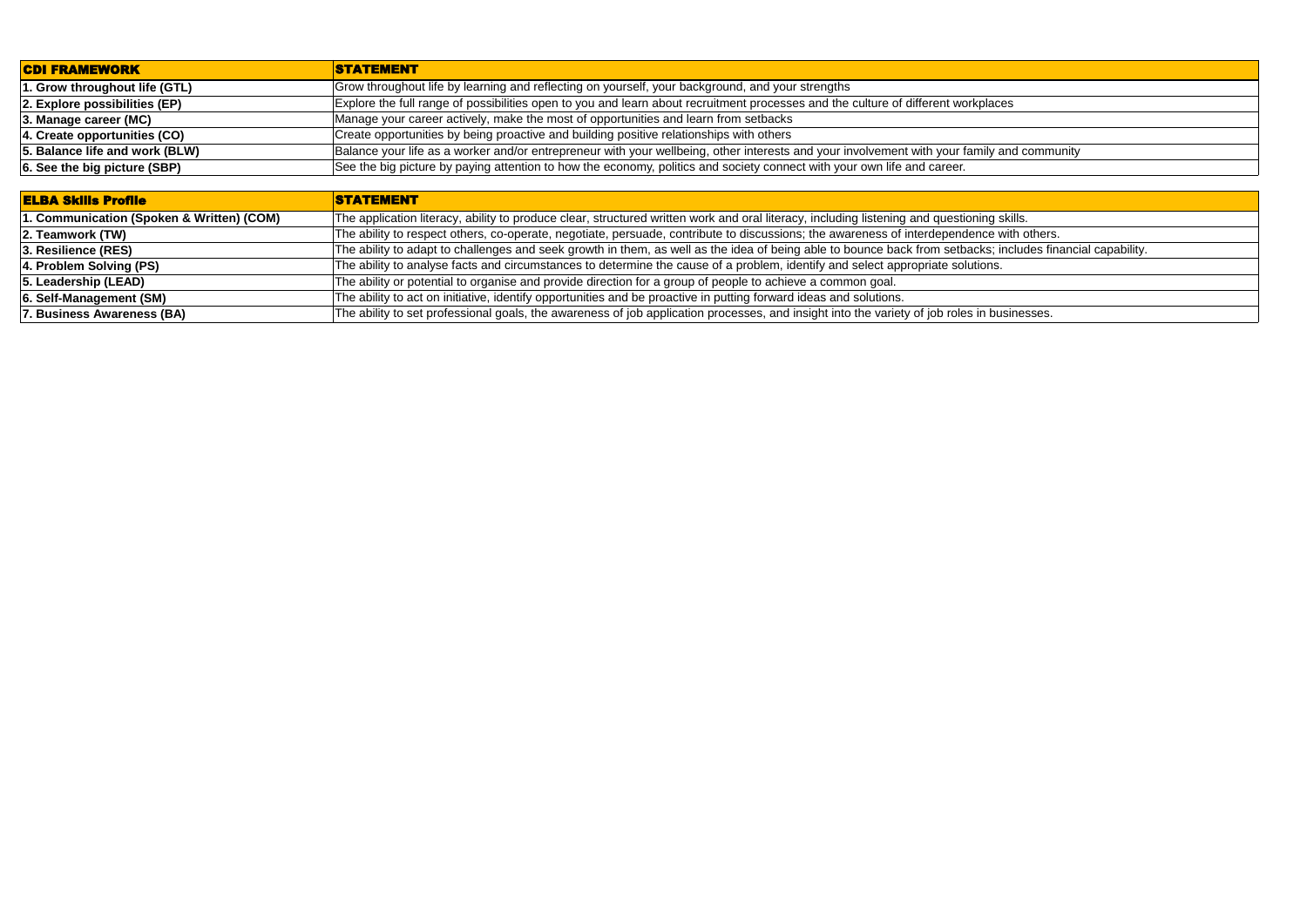| <b>ELBA Skills Profile</b>                | <b>STATEMENT</b>                                                                                                                            |
|-------------------------------------------|---------------------------------------------------------------------------------------------------------------------------------------------|
| 1. Communication (Spoken & Written) (COM) | The application literacy, ability to produce clear, structured written work and oral literacy, including listening and questioning skills.  |
| 2. Teamwork (TW)                          | The ability to respect others, co-operate, negotiate, persuade, contribute to discussions; the awareness of interdependence with others     |
| 3. Resilience (RES)                       | The ability to adapt to challenges and seek growth in them, as well as the idea of being able to bounce back from setbacks; includes fi     |
| 4. Problem Solving (PS)                   | The ability to analyse facts and circumstances to determine the cause of a problem, identify and select appropriate solutions.              |
| 5. Leadership (LEAD)                      | The ability or potential to organise and provide direction for a group of people to achieve a common goal.                                  |
| 6. Self-Management (SM)                   | The ability to act on initiative, identify opportunities and be proactive in putting forward ideas and solutions.                           |
| 7. Business Awareness (BA)                | The ability to set professional goals, the awareness of job application processes, and insight into the variety of job roles in businesses. |

ly and community

The ability others, co-operate, persuade, co-operations, respect to the available to discussion  $\overline{\phantom{a}}$ 

s; includes financial capability.

| <b>CDI FRAMEWORK</b>           | <b>STATEMENT</b>                                                                                                                  |
|--------------------------------|-----------------------------------------------------------------------------------------------------------------------------------|
| 1. Grow throughout life (GTL)  | Grow throughout life by learning and reflecting on yourself, your background, and your strengths                                  |
| 2. Explore possibilities (EP)  | Explore the full range of possibilities open to you and learn about recruitment processes and the culture of different workplaces |
| $ 3.$ Manage career (MC)       | Manage your career actively, make the most of opportunities and learn from setbacks                                               |
| 4. Create opportunities (CO)   | Create opportunities by being proactive and building positive relationships with others                                           |
| 5. Balance life and work (BLW) | Balance your life as a worker and/or entrepreneur with your wellbeing, other interests and your involvement with your family and  |
| 6. See the big picture (SBP)   | See the big picture by paying attention to how the economy, politics and society connect with your own life and career.           |